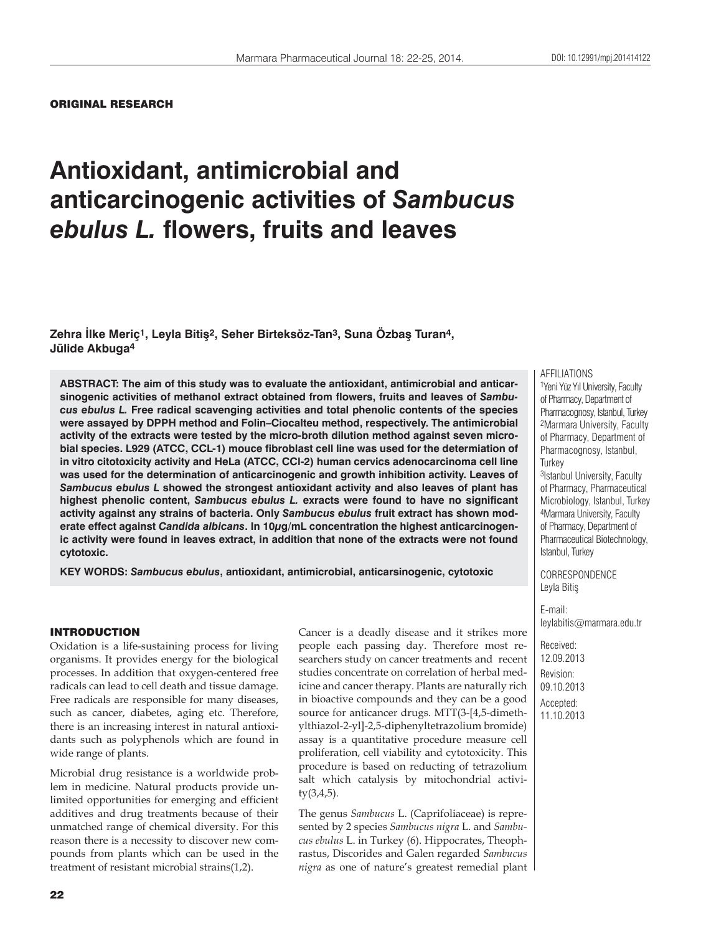#### ORIGINAL RESEARCH

# **Antioxidant, antimicrobial and anticarcinogenic activities of** *Sambucus ebulus L.* **flowers, fruits and leaves**

**Zehra İlke Meriç1, Leyla Bitiş2, Seher Birteksöz-Tan3, Suna Özbaş Turan4, Jülide Akbuga4**

**ABSTRACT: The aim of this study was to evaluate the antioxidant, antimicrobial and anticarsinogenic activities of methanol extract obtained from flowers, fruits and leaves of** *Sambucus ebulus L.* **Free radical scavenging activities and total phenolic contents of the species were assayed by DPPH method and Folin–Ciocalteu method, respectively. The antimicrobial activity of the extracts were tested by the micro-broth dilution method against seven microbial species. L929 (ATCC, CCL-1) mouce fibroblast cell line was used for the determiation of in vitro citotoxicity activity and HeLa (ATCC, CCl-2) human cervics adenocarcinoma cell line was used for the determination of anticarcinogenic and growth inhibition activity. Leaves of**  *Sambucus ebulus L* **showed the strongest antioxidant activity and also leaves of plant has highest phenolic content,** *Sambucus ebulus L.* **exracts were found to have no significant activity against any strains of bacteria. Only** *Sambucus ebulus* **fruit extract has shown moderate effect against** *Candida albicans***. In 10μg/mL concentration the highest anticarcinogenic activity were found in leaves extract, in addition that none of the extracts were not found cytotoxic.**

**KEY WORDS:** *Sambucus ebulus***, antioxidant, antimicrobial, anticarsinogenic, cytotoxic**

#### INTRODUCTION

Oxidation is a life-sustaining process for living organisms. It provides energy for the biological processes. In addition that oxygen-centered free radicals can lead to cell death and tissue damage. Free radicals are responsible for many diseases, such as cancer, diabetes, aging etc. Therefore, there is an increasing interest in natural antioxidants such as polyphenols which are found in wide range of plants.

Microbial drug resistance is a worldwide problem in medicine. Natural products provide unlimited opportunities for emerging and efficient additives and drug treatments because of their unmatched range of chemical diversity. For this reason there is a necessity to discover new compounds from plants which can be used in the treatment of resistant microbial strains(1,2).

Cancer is a deadly disease and it strikes more people each passing day. Therefore most researchers study on cancer treatments and recent studies concentrate on correlation of herbal medicine and cancer therapy. Plants are naturally rich in bioactive compounds and they can be a good source for anticancer drugs. MTT(3-[4,5-dimethylthiazol-2-yl]-2,5-diphenyltetrazolium bromide) assay is a quantitative procedure measure cell proliferation, cell viability and cytotoxicity. This procedure is based on reducting of tetrazolium salt which catalysis by mitochondrial activity(3,4,5).

The genus *Sambucus* L. (Caprifoliaceae) is represented by 2 species *Sambucus nigra* L. and *Sambucus ebulus* L. in Turkey (6). Hippocrates, Theophrastus, Discorides and Galen regarded *Sambucus nigra* as one of nature's greatest remedial plant

#### AFFILIATIONS

1Yeni Yüz Yıl University, Faculty of Pharmacy, Department of Pharmacognosy, Istanbul, Turkey 2Marmara University, Faculty of Pharmacy, Department of Pharmacognosy, Istanbul, **Turkey** 

3Istanbul University, Faculty of Pharmacy, Pharmaceutical Microbiology, Istanbul, Turkey 4Marmara University, Faculty of Pharmacy, Department of Pharmaceutical Biotechnology, Istanbul, Turkey

CORRESPONDENCE Leyla Bitiş

E-mail: leylabitis@marmara.edu.tr

Received: 12.09.2013 Revision: 09.10.2013 Accepted: 11.10.2013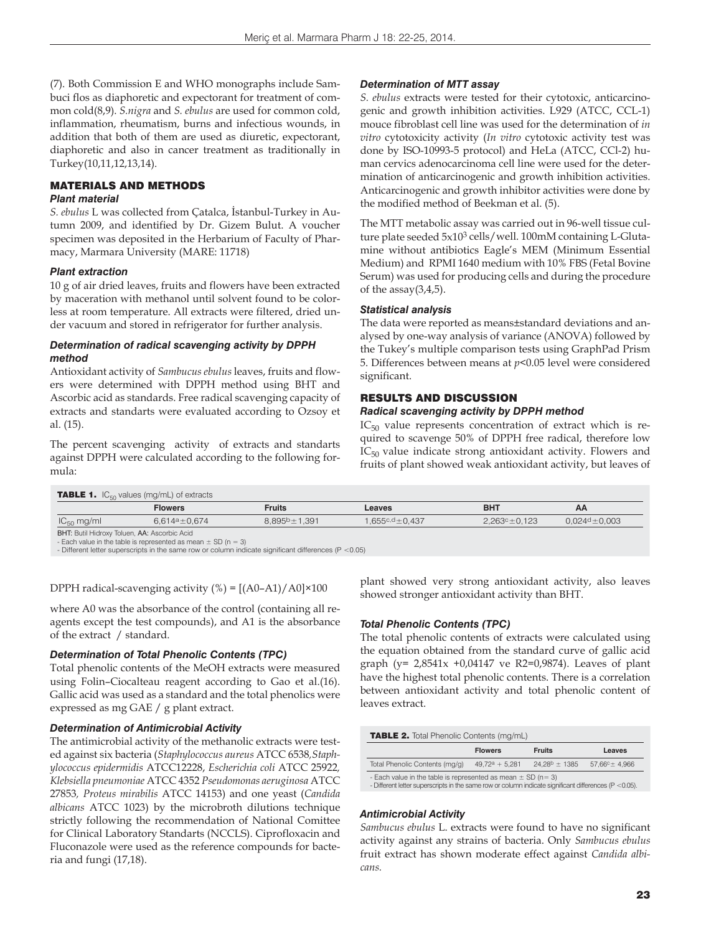(7). Both Commission E and WHO monographs include Sambuci flos as diaphoretic and expectorant for treatment of common cold(8,9). *S.nigra* and *S. ebulus* are used for common cold, inflammation, rheumatism, burns and infectious wounds, in addition that both of them are used as diuretic, expectorant, diaphoretic and also in cancer treatment as traditionally in Turkey(10,11,12,13,14).

# MATERIALS AND METHODS

## *Plant material*

*S. ebulus* L was collected from Çatalca, İstanbul-Turkey in Autumn 2009, and identified by Dr. Gizem Bulut. A voucher specimen was deposited in the Herbarium of Faculty of Pharmacy, Marmara University (MARE: 11718)

#### *Plant extraction*

10 g of air dried leaves, fruits and flowers have been extracted by maceration with methanol until solvent found to be colorless at room temperature. All extracts were filtered, dried under vacuum and stored in refrigerator for further analysis.

#### *Determination of radical scavenging activity by DPPH method*

Antioxidant activity of *Sambucus ebulus* leaves, fruits and flowers were determined with DPPH method using BHT and Ascorbic acid as standards. Free radical scavenging capacity of extracts and standarts were evaluated according to Ozsoy et al. (15).

The percent scavenging activity of extracts and standarts against DPPH were calculated according to the following formula:

# *Determination of MTT assay*

*S. ebulus* extracts were tested for their cytotoxic, anticarcinogenic and growth inhibition activities. L929 (ATCC, CCL-1) mouce fibroblast cell line was used for the determination of *in vitro* cytotoxicity activity (*In vitro* cytotoxic activity test was done by ISO-10993-5 protocol) and HeLa (ATCC, CCl-2) human cervics adenocarcinoma cell line were used for the determination of anticarcinogenic and growth inhibition activities. Anticarcinogenic and growth inhibitor activities were done by the modified method of Beekman et al. (5).

The MTT metabolic assay was carried out in 96-well tissue culture plate seeded 5x103 cells/well. 100mM containing L-Glutamine without antibiotics Eagle's MEM (Minimum Essential Medium) and RPMI 1640 medium with 10% FBS (Fetal Bovine Serum) was used for producing cells and during the procedure of the assay(3,4,5).

#### *Statistical analysis*

The data were reported as means±standard deviations and analysed by one-way analysis of variance (ANOVA) followed by the Tukey's multiple comparison tests using GraphPad Prism 5. Differences between means at *p*<0.05 level were considered significant.

# RESULTS AND DISCUSSION

# *Radical scavenging activity by DPPH method*

 $IC_{50}$  value represents concentration of extract which is required to scavenge 50% of DPPH free radical, therefore low IC<sub>50</sub> value indicate strong antioxidant activity. Flowers and fruits of plant showed weak antioxidant activity, but leaves of

|                                                     | <b>TABLE 1.</b> $IC_{50}$ values (mg/mL) of extracts |                       |                       |                           |                     |
|-----------------------------------------------------|------------------------------------------------------|-----------------------|-----------------------|---------------------------|---------------------|
|                                                     | <b>Flowers</b>                                       | <b>Fruits</b>         | <b>Leaves</b>         | <b>BHT</b>                | ΑA                  |
| $IC_{50}$ mg/ml                                     | $6.614^a \pm 0.674$                                  | $8.895^{b} \pm 1.391$ | $1.655c, d \pm 0.437$ | $2.263^{\circ} \pm 0.123$ | $0.024^d \pm 0.003$ |
| <b>BHT:</b> Butil Hidroxy Toluen, AA: Ascorbic Acid |                                                      |                       |                       |                           |                     |

BHT: Butil Hidroxy Toluen, AA: Ascorbic Acid - Each value in the table is represented as mean ± SD (n = 3)

- Different letter superscripts in the same row or column indicate significant differences (P <0.05)

DPPH radical-scavenging activity (%) = [(A0–A1)/A0]×100

where A0 was the absorbance of the control (containing all reagents except the test compounds), and A1 is the absorbance of the extract / standard.

#### *Determination of Total Phenolic Contents (TPC)*

Total phenolic contents of the MeOH extracts were measured using Folin–Ciocalteau reagent according to Gao et al.(16). Gallic acid was used as a standard and the total phenolics were expressed as mg GAE / g plant extract.

#### *Determination of Antimicrobial Activity*

The antimicrobial activity of the methanolic extracts were tested against six bacteria (*Staphylococcus aureus* ATCC 6538*,Staphylococcus epidermidis* ATCC12228, *Escherichia coli* ATCC 25922*, Klebsiella pneumoniae* ATCC 4352 *Pseudomonas aeruginosa* ATCC 27853*, Proteus mirabilis* ATCC 14153) and one yeast (*Candida albicans* ATCC 1023) by the microbroth dilutions technique strictly following the recommendation of National Comittee for Clinical Laboratory Standarts (NCCLS). Ciprofloxacin and Fluconazole were used as the reference compounds for bacteria and fungi (17,18).

plant showed very strong antioxidant activity, also leaves showed stronger antioxidant activity than BHT.

# *Total Phenolic Contents (TPC)*

The total phenolic contents of extracts were calculated using the equation obtained from the standard curve of gallic acid graph (y= 2,8541x +0,04147 ve R2=0,9874). Leaves of plant have the highest total phenolic contents. There is a correlation between antioxidant activity and total phenolic content of leaves extract.

#### TABLE 2. Total Phenolic Contents (mg/mL)

|                                                                                                                                                                            | <b>Flowers</b>    | <b>Fruits</b>            | Leaves             |
|----------------------------------------------------------------------------------------------------------------------------------------------------------------------------|-------------------|--------------------------|--------------------|
| Total Phenolic Contents (mg/g)                                                                                                                                             | $49.72^a + 5.281$ | $24.28^{\circ} \pm 1385$ | $57.66c \pm 4.966$ |
| - Each value in the table is represented as mean $\pm$ SD (n= 3)<br>- Different letter superscripts in the same row or column indicate significant differences (P < 0.05). |                   |                          |                    |

#### *Antimicrobial Activity*

*Sambucus ebulus* L. extracts were found to have no significant activity against any strains of bacteria. Only *Sambucus ebulus* fruit extract has shown moderate effect against *Candida albicans.*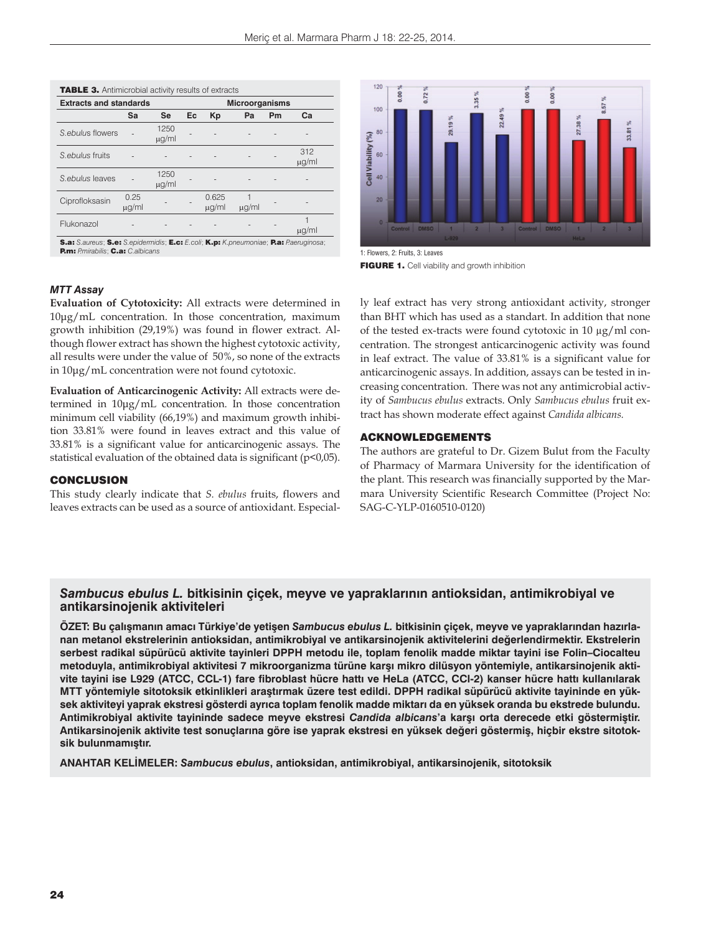| <b>Extracts and standards</b> |                    |                    |    | <b>Microorganisms</b> |            |    |                   |
|-------------------------------|--------------------|--------------------|----|-----------------------|------------|----|-------------------|
|                               | Sa                 | Se                 | Ec | Kp                    | Pa         | Pm | Сa                |
| S.ebulus flowers              |                    | 1250<br>$\mu$ g/ml |    |                       |            |    |                   |
| S.ebulus fruits               |                    |                    |    |                       |            |    | 312<br>$\mu$ g/ml |
| S.ebulus leaves               |                    | 1250<br>$\mu$ g/ml |    |                       |            |    |                   |
| Ciprofloksasin                | 0.25<br>$\mu$ g/ml |                    |    | 0.625<br>$\mu q$ /ml  | $\mu$ g/ml |    |                   |
| Flukonazol                    |                    |                    |    |                       |            |    | $\mu$ g/ml        |



1: Flowers, 2: Fruits, 3: Leaves **FIGURE 1.** Cell viability and growth inhibition

# *MTT Assay*

**Evaluation of Cytotoxicity:** All extracts were determined in 10μg/mL concentration. In those concentration, maximum growth inhibition (29,19%) was found in flower extract. Although flower extract has shown the highest cytotoxic activity, all results were under the value of 50%, so none of the extracts in 10μg/mL concentration were not found cytotoxic.

**Evaluation of Anticarcinogenic Activity:** All extracts were determined in 10μg/mL concentration. In those concentration minimum cell viability (66,19%) and maximum growth inhibition 33.81% were found in leaves extract and this value of 33.81% is a significant value for anticarcinogenic assays. The statistical evaluation of the obtained data is significant (p<0,05).

#### CONCLUSION

This study clearly indicate that *S. ebulus* fruits, flowers and leaves extracts can be used as a source of antioxidant. Especially leaf extract has very strong antioxidant activity, stronger than BHT which has used as a standart. In addition that none of the tested ex-tracts were found cytotoxic in 10 μg/ml concentration. The strongest anticarcinogenic activity was found in leaf extract. The value of 33.81% is a significant value for anticarcinogenic assays. In addition, assays can be tested in increasing concentration. There was not any antimicrobial activity of *Sambucus ebulus* extracts. Only *Sambucus ebulus* fruit extract has shown moderate effect against *Candida albicans.* 

# ACKNOWLEDGEMENTS

The authors are grateful to Dr. Gizem Bulut from the Faculty of Pharmacy of Marmara University for the identification of the plant. This research was financially supported by the Marmara University Scientific Research Committee (Project No: SAG-C-YLP-0160510-0120)

# *Sambucus ebulus L.* **bitkisinin çiçek, meyve ve yapraklarının antioksidan, antimikrobiyal ve antikarsinojenik aktiviteleri**

**ÖZET: Bu çalışmanın amacı Türkiye'de yetişen** *Sambucus ebulus L.* **bitkisinin çiçek, meyve ve yapraklarından hazırlanan metanol ekstrelerinin antioksidan, antimikrobiyal ve antikarsinojenik aktivitelerini değerlendirmektir. Ekstrelerin serbest radikal süpürücü aktivite tayinleri DPPH metodu ile, toplam fenolik madde miktar tayini ise Folin–Ciocalteu metoduyla, antimikrobiyal aktivitesi 7 mikroorganizma türüne karşı mikro dilüsyon yöntemiyle, antikarsinojenik aktivite tayini ise L929 (ATCC, CCL-1) fare fibroblast hücre hattı ve HeLa (ATCC, CCl-2) kanser hücre hattı kullanılarak MTT yöntemiyle sitotoksik etkinlikleri araştırmak üzere test edildi. DPPH radikal süpürücü aktivite tayininde en yüksek aktiviteyi yaprak ekstresi gösterdi ayrıca toplam fenolik madde miktarı da en yüksek oranda bu ekstrede bulundu. Antimikrobiyal aktivite tayininde sadece meyve ekstresi** *Candida albicans***'a karşı orta derecede etki göstermiştir. Antikarsinojenik aktivite test sonuçlarına göre ise yaprak ekstresi en yüksek değeri göstermiş, hiçbir ekstre sitotoksik bulunmamıştır.**

**ANAHTAR KELİMELER:** *Sambucus ebulus***, antioksidan, antimikrobiyal, antikarsinojenik, sitotoksik**